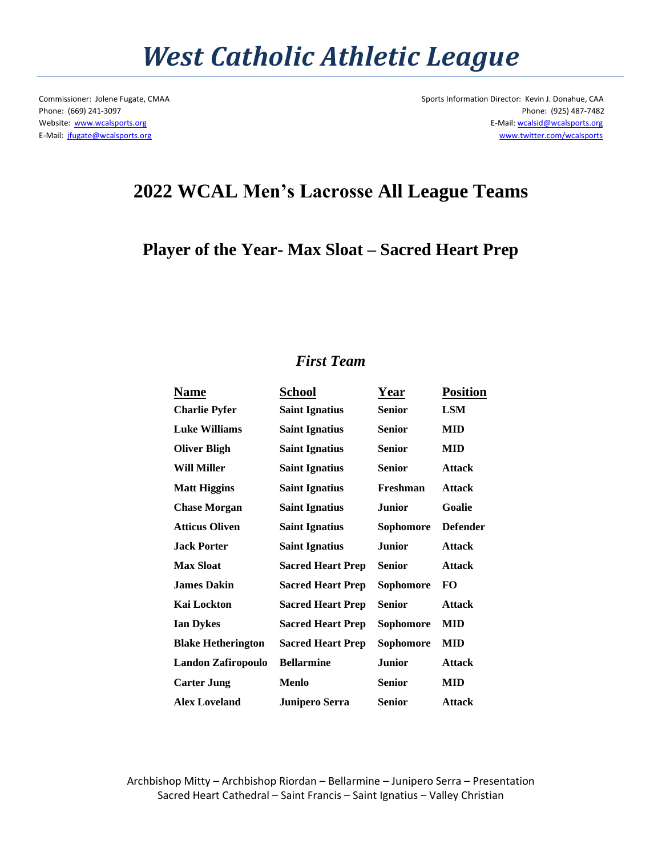## *West Catholic Athletic League*

Commissioner: Jolene Fugate, CMAA Sports Information Director: Kevin J. Donahue, CAA Phone: (669) 241-3097 Phone: (925) 487-7482 Website: [www.wcalsports.org](http://www.wcalsports.org/) examples and the example of the example of the example of the E-Mail: wcalsid@wcalsports.org E-Mail: wcalsid@wcalsports.org E-Mail: [jfugate@wcalsports.org](mailto:jfugate@wcalsports.org) [www.twitter.com/wcalsports](http://www.twitter.com/wcalsports) 

## **2022 WCAL Men's Lacrosse All League Teams**

#### **Player of the Year- Max Sloat – Sacred Heart Prep**

#### *First Team*

| Name                      | <b>School</b>            | Year          | <b>Position</b> |
|---------------------------|--------------------------|---------------|-----------------|
| <b>Charlie Pyfer</b>      | <b>Saint Ignatius</b>    | <b>Senior</b> | <b>LSM</b>      |
| <b>Luke Williams</b>      | <b>Saint Ignatius</b>    | <b>Senior</b> | MID             |
| <b>Oliver Bligh</b>       | <b>Saint Ignatius</b>    | <b>Senior</b> | MID             |
| <b>Will Miller</b>        | <b>Saint Ignatius</b>    | <b>Senior</b> | <b>Attack</b>   |
| <b>Matt Higgins</b>       | <b>Saint Ignatius</b>    | Freshman      | <b>Attack</b>   |
| <b>Chase Morgan</b>       | <b>Saint Ignatius</b>    | <b>Junior</b> | Goalie          |
| <b>Atticus Oliven</b>     | <b>Saint Ignatius</b>    | Sophomore     | <b>Defender</b> |
| <b>Jack Porter</b>        | <b>Saint Ignatius</b>    | <b>Junior</b> | <b>Attack</b>   |
| <b>Max Sloat</b>          | <b>Sacred Heart Prep</b> | <b>Senior</b> | <b>Attack</b>   |
| <b>James Dakin</b>        | <b>Sacred Heart Prep</b> | Sophomore     | <b>FO</b>       |
| Kai Lockton               | <b>Sacred Heart Prep</b> | <b>Senior</b> | <b>Attack</b>   |
| <b>Ian Dykes</b>          | <b>Sacred Heart Prep</b> | Sophomore     | MID             |
| <b>Blake Hetherington</b> | <b>Sacred Heart Prep</b> | Sophomore     | MID             |
| Landon Zafiropoulo        | <b>Bellarmine</b>        | <b>Junior</b> | <b>Attack</b>   |
| <b>Carter Jung</b>        | <b>Menlo</b>             | <b>Senior</b> | <b>MID</b>      |
| <b>Alex Loveland</b>      | <b>Junipero Serra</b>    | <b>Senior</b> | <b>Attack</b>   |
|                           |                          |               |                 |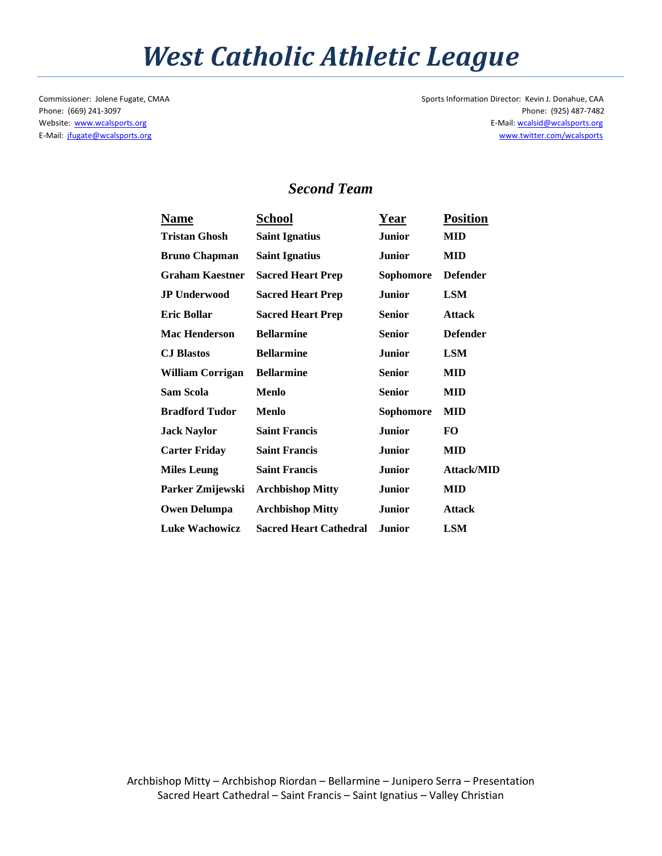## *West Catholic Athletic League*

Commissioner: Jolene Fugate, CMAA Sports Information Director: Kevin J. Donahue, CAA Phone: (669) 241-3097 Phone: (925) 487-7482 Website: [www.wcalsports.org](http://www.wcalsports.org/) examples are a set of the set of the set of the set of the E-Mail: wcalsid@wcalsports.org E-Mail: wcalsid@wcalsports.org E-Mail: [jfugate@wcalsports.org](mailto:jfugate@wcalsports.org) [www.twitter.com/wcalsports](http://www.twitter.com/wcalsports) 

### *Second Team*

| <b>Name</b>             | School                        | <b>Year</b>   | <b>Position</b>   |
|-------------------------|-------------------------------|---------------|-------------------|
| Tristan Ghosh           | <b>Saint Ignatius</b>         | <b>Junior</b> | MID               |
| <b>Bruno Chapman</b>    | <b>Saint Ignatius</b>         | <b>Junior</b> | MID               |
| <b>Graham Kaestner</b>  | <b>Sacred Heart Prep</b>      | Sophomore     | <b>Defender</b>   |
| <b>JP Underwood</b>     | <b>Sacred Heart Prep</b>      | <b>Junior</b> | <b>LSM</b>        |
| <b>Eric Bollar</b>      | <b>Sacred Heart Prep</b>      | <b>Senior</b> | <b>Attack</b>     |
| <b>Mac Henderson</b>    | <b>Bellarmine</b>             | <b>Senior</b> | <b>Defender</b>   |
| <b>CJ</b> Blastos       | <b>Bellarmine</b>             | <b>Junior</b> | LSM               |
| <b>William Corrigan</b> | <b>Bellarmine</b>             | <b>Senior</b> | MID               |
| Sam Scola               | <b>Menlo</b>                  | <b>Senior</b> | MID               |
| <b>Bradford Tudor</b>   | Menlo                         | Sophomore     | <b>MID</b>        |
| <b>Jack Naylor</b>      | <b>Saint Francis</b>          | <b>Junior</b> | FO.               |
| <b>Carter Friday</b>    | <b>Saint Francis</b>          | <b>Junior</b> | <b>MID</b>        |
| <b>Miles Leung</b>      | <b>Saint Francis</b>          | <b>Junior</b> | <b>Attack/MID</b> |
| Parker Zmijewski        | <b>Archbishop Mitty</b>       | <b>Junior</b> | <b>MID</b>        |
| <b>Owen Delumpa</b>     | <b>Archbishop Mitty</b>       | <b>Junior</b> | <b>Attack</b>     |
| <b>Luke Wachowicz</b>   | <b>Sacred Heart Cathedral</b> | <b>Junior</b> | LSM               |